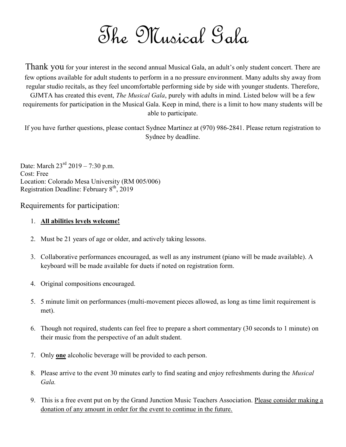The Musical Gala

Thank you for your interest in the second annual Musical Gala, an adult's only student concert. There are few options available for adult students to perform in a no pressure environment. Many adults shy away from regular studio recitals, as they feel uncomfortable performing side by side with younger students. Therefore, GJMTA has created this event, *The Musical Gala*, purely with adults in mind. Listed below will be a few requirements for participation in the Musical Gala. Keep in mind, there is a limit to how many students will be able to participate.

If you have further questions, please contact Sydnee Martinez at (970) 986-2841. Please return registration to Sydnee by deadline.

Date: March  $23^{\text{rd}}$  2019 – 7:30 p.m. Cost: Free Location: Colorado Mesa University (RM 005/006) Registration Deadline: February  $8<sup>th</sup>$ , 2019

Requirements for participation:

## 1. All abilities levels welcome!

- 2. Must be 21 years of age or older, and actively taking lessons.
- 3. Collaborative performances encouraged, as well as any instrument (piano will be made available). A keyboard will be made available for duets if noted on registration form.
- 4. Original compositions encouraged.
- 5. 5 minute limit on performances (multi-movement pieces allowed, as long as time limit requirement is met).
- 6. Though not required, students can feel free to prepare a short commentary (30 seconds to 1 minute) on their music from the perspective of an adult student.
- 7. Only **one** alcoholic beverage will be provided to each person.
- 8. Please arrive to the event 30 minutes early to find seating and enjoy refreshments during the Musical Gala.
- 9. This is a free event put on by the Grand Junction Music Teachers Association. Please consider making a donation of any amount in order for the event to continue in the future.